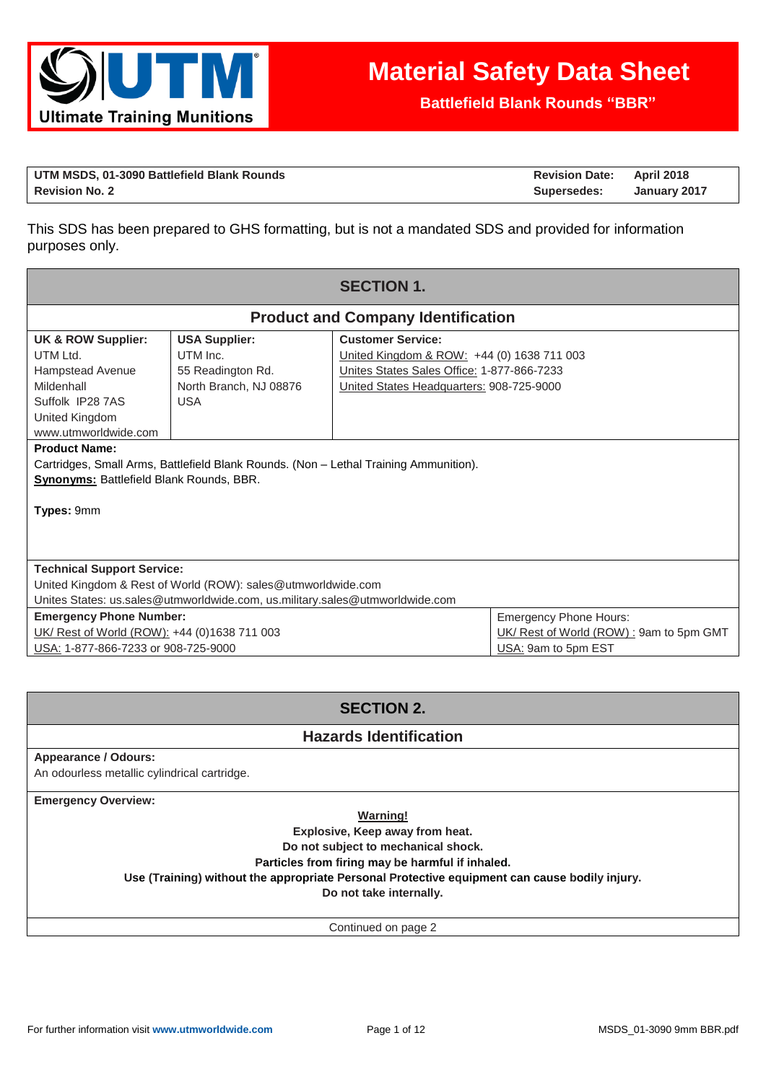

**Battlefield Blank Rounds "BBR"**

| UTM MSDS, 01-3090 Battlefield Blank Rounds | <b>Revision Date: April 2018</b> |              |
|--------------------------------------------|----------------------------------|--------------|
| <b>Revision No. 2</b>                      | Supersedes:                      | January 2017 |

This SDS has been prepared to GHS formatting, but is not a mandated SDS and provided for information purposes only.

| <b>SECTION 1.</b>                                                                                                                                                                                                        |                                                                                                                                              |                                                                                                                                                                  |  |  |
|--------------------------------------------------------------------------------------------------------------------------------------------------------------------------------------------------------------------------|----------------------------------------------------------------------------------------------------------------------------------------------|------------------------------------------------------------------------------------------------------------------------------------------------------------------|--|--|
|                                                                                                                                                                                                                          |                                                                                                                                              | <b>Product and Company Identification</b>                                                                                                                        |  |  |
| <b>UK &amp; ROW Supplier:</b><br>UTM Ltd.<br>Hampstead Avenue<br>Mildenhall<br>Suffolk IP28 7AS<br>United Kingdom<br>www.utmworldwide.com                                                                                | <b>USA Supplier:</b><br>UTM Inc.<br>55 Readington Rd.<br>North Branch, NJ 08876<br><b>USA</b>                                                | <b>Customer Service:</b><br>United Kingdom & ROW: +44 (0) 1638 711 003<br>Unites States Sales Office: 1-877-866-7233<br>United States Headquarters: 908-725-9000 |  |  |
| <b>Product Name:</b><br>Cartridges, Small Arms, Battlefield Blank Rounds. (Non – Lethal Training Ammunition).<br><b>Synonyms: Battlefield Blank Rounds, BBR.</b><br>Types: 9mm                                           |                                                                                                                                              |                                                                                                                                                                  |  |  |
| <b>Technical Support Service:</b>                                                                                                                                                                                        | United Kingdom & Rest of World (ROW): sales@utmworldwide.com<br>Unites States: us.sales@utmworldwide.com, us.military.sales@utmworldwide.com |                                                                                                                                                                  |  |  |
| <b>Emergency Phone Hours:</b><br><b>Emergency Phone Number:</b><br>UK/ Rest of World (ROW): +44 (0)1638 711 003<br>UK/ Rest of World (ROW): 9am to 5pm GMT<br>USA: 1-877-866-7233 or 908-725-9000<br>USA: 9am to 5pm EST |                                                                                                                                              |                                                                                                                                                                  |  |  |

# **SECTION 2.**

## **Hazards Identification**

### **Appearance / Odours:**

An odourless metallic cylindrical cartridge.

**Emergency Overview:**

**Warning!**

**Explosive, Keep away from heat.** 

**Do not subject to mechanical shock.** 

**Particles from firing may be harmful if inhaled.**

**Use (Training) without the appropriate Personal Protective equipment can cause bodily injury.**

**Do not take internally.**

Continued on page 2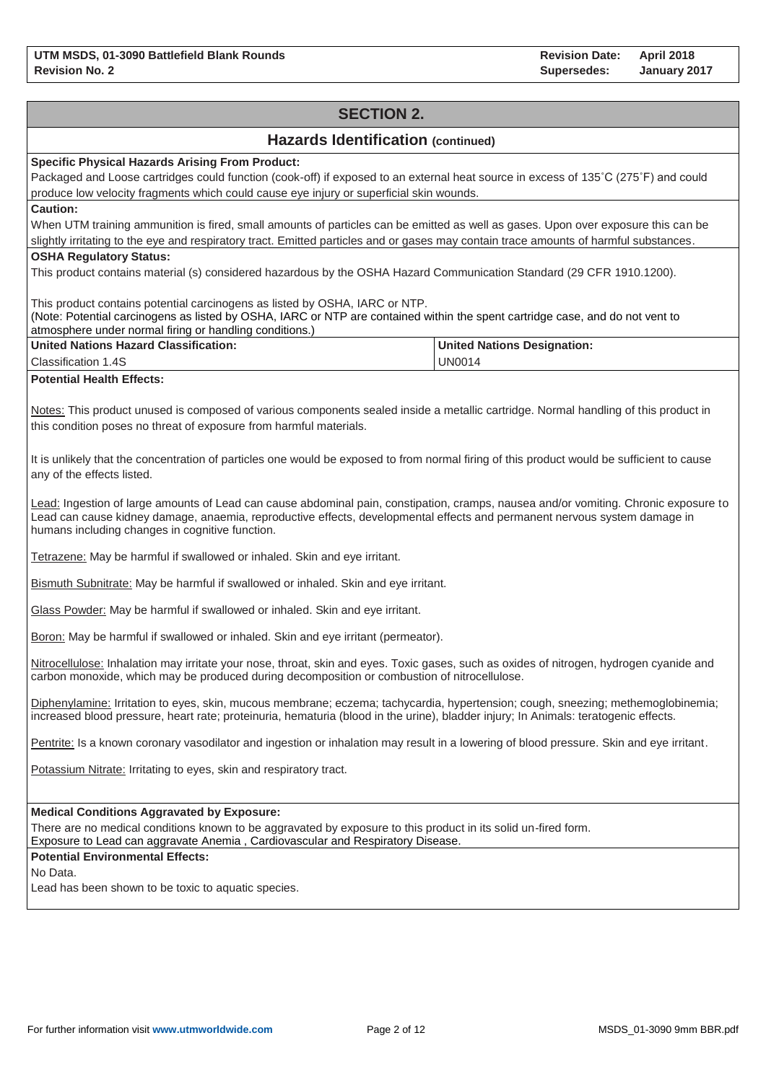# **SECTION 2. Hazards Identification (continued) Specific Physical Hazards Arising From Product:** Packaged and Loose cartridges could function (cook-off) if exposed to an external heat source in excess of 135˚C (275˚F) and could produce low velocity fragments which could cause eye injury or superficial skin wounds. **Caution:** When UTM training ammunition is fired, small amounts of particles can be emitted as well as gases. Upon over exposure this can be slightly irritating to the eye and respiratory tract. Emitted particles and or gases may contain trace amounts of harmful substances. **OSHA Regulatory Status:** This product contains material (s) considered hazardous by the OSHA Hazard Communication Standard (29 CFR 1910.1200). This product contains potential carcinogens as listed by OSHA, IARC or NTP. (Note: Potential carcinogens as listed by OSHA, IARC or NTP are contained within the spent cartridge case, and do not vent to atmosphere under normal firing or handling conditions.) **United Nations Hazard Classification:** Classification 1.4S **United Nations Designation:** UN0014 **Potential Health Effects:** Notes: This product unused is composed of various components sealed inside a metallic cartridge. Normal handling of this product in this condition poses no threat of exposure from harmful materials. It is unlikely that the concentration of particles one would be exposed to from normal firing of this product would be sufficient to cause any of the effects listed. Lead: Ingestion of large amounts of Lead can cause abdominal pain, constipation, cramps, nausea and/or vomiting. Chronic exposure to Lead can cause kidney damage, anaemia, reproductive effects, developmental effects and permanent nervous system damage in humans including changes in cognitive function. Tetrazene: May be harmful if swallowed or inhaled. Skin and eye irritant. Bismuth Subnitrate: May be harmful if swallowed or inhaled. Skin and eye irritant. Glass Powder: May be harmful if swallowed or inhaled. Skin and eye irritant. Boron: May be harmful if swallowed or inhaled. Skin and eye irritant (permeator). Nitrocellulose: Inhalation may irritate your nose, throat, skin and eyes. Toxic gases, such as oxides of nitrogen, hydrogen cyanide and carbon monoxide, which may be produced during decomposition or combustion of nitrocellulose. Diphenylamine: Irritation to eyes, skin, mucous membrane; eczema; tachycardia, hypertension; cough, sneezing; methemoglobinemia; increased blood pressure, heart rate; proteinuria, hematuria (blood in the urine), bladder injury; In Animals: teratogenic effects. Pentrite: Is a known coronary vasodilator and ingestion or inhalation may result in a lowering of blood pressure. Skin and eye irritant. Potassium Nitrate: Irritating to eyes, skin and respiratory tract. **Medical Conditions Aggravated by Exposure:** There are no medical conditions known to be aggravated by exposure to this product in its solid un-fired form. Exposure to Lead can aggravate Anemia , Cardiovascular and Respiratory Disease. **Potential Environmental Effects:** No Data. Lead has been shown to be toxic to aquatic species.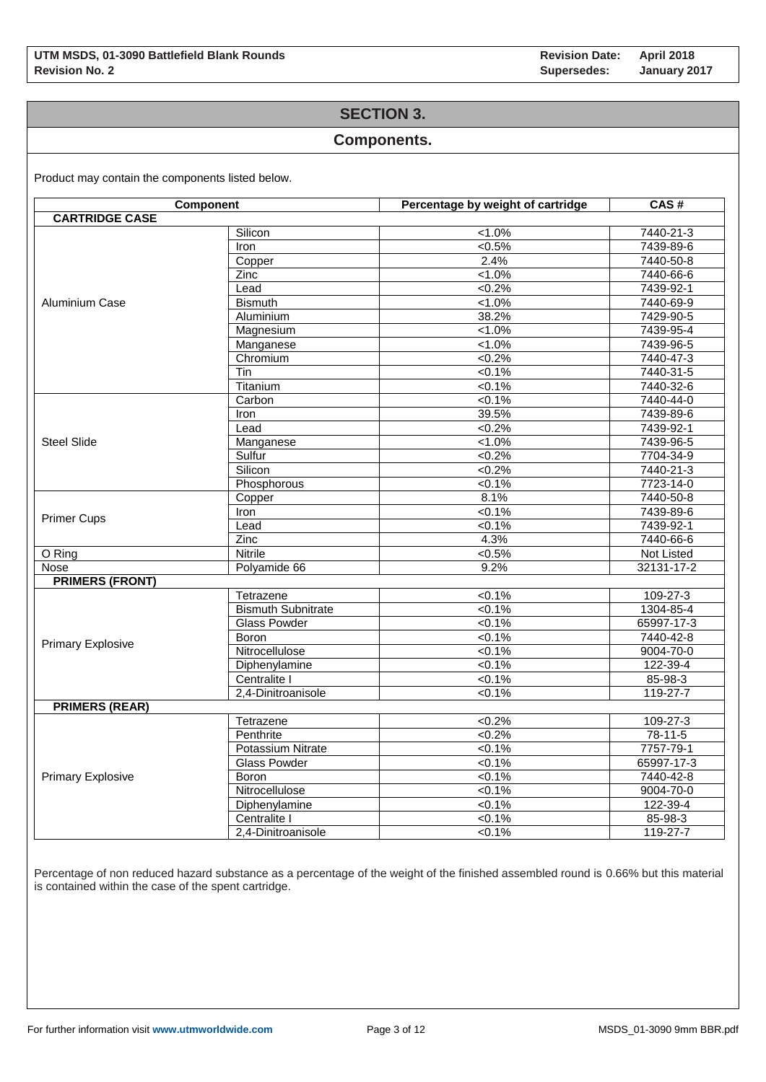## **SECTION 3.**

### **Components.**

Product may contain the components listed below.

| <b>Component</b>         |                           | Percentage by weight of cartridge | CAS#            |
|--------------------------|---------------------------|-----------------------------------|-----------------|
| <b>CARTRIDGE CASE</b>    |                           |                                   |                 |
|                          | Silicon                   | $1.0\%$                           | 7440-21-3       |
|                          | Iron                      | $<0.5\%$                          | 7439-89-6       |
|                          | Copper                    | 2.4%                              | 7440-50-8       |
|                          | Zinc                      | $1.0\%$                           | 7440-66-6       |
|                          | Lead                      | $<0.2\%$                          | 7439-92-1       |
| Aluminium Case           | <b>Bismuth</b>            | $1.0\%$                           | 7440-69-9       |
|                          | Aluminium                 | 38.2%                             | 7429-90-5       |
|                          | Magnesium                 | $1.0\%$                           | 7439-95-4       |
|                          | Manganese                 | $1.0\%$                           | 7439-96-5       |
|                          | Chromium                  | $<0.2\%$                          | 7440-47-3       |
|                          | Tin                       | 50.1%                             | 7440-31-5       |
|                          | Titanium                  | $< 0.1\%$                         | 7440-32-6       |
|                          | Carbon                    | $< 0.1\%$                         | 7440-44-0       |
|                          | Iron                      | 39.5%                             | 7439-89-6       |
|                          | Lead                      | $<0.2\%$                          | 7439-92-1       |
| <b>Steel Slide</b>       | Manganese                 | $1.0\%$                           | 7439-96-5       |
|                          | Sulfur                    | $<0.2\%$                          | 7704-34-9       |
|                          | Silicon                   | < 0.2%                            | $7440 - 21 - 3$ |
|                          | Phosphorous               | 50.1%                             | 7723-14-0       |
|                          | Copper                    | 8.1%                              | 7440-50-8       |
|                          | <b>Iron</b>               | $< 0.1\%$                         | 7439-89-6       |
| <b>Primer Cups</b>       | Lead                      | 50.1%                             | 7439-92-1       |
|                          | Zinc                      | 4.3%                              | 7440-66-6       |
| O Ring                   | <b>Nitrile</b>            | $< 0.5\%$                         | Not Listed      |
| Nose                     | Polyamide 66              | 9.2%                              | 32131-17-2      |
| <b>PRIMERS (FRONT)</b>   |                           |                                   |                 |
|                          | Tetrazene                 | $< 0.1\%$                         | 109-27-3        |
|                          | <b>Bismuth Subnitrate</b> | $< 0.1\%$                         | 1304-85-4       |
|                          | <b>Glass Powder</b>       | $< 0.1\%$                         | 65997-17-3      |
|                          | <b>Boron</b>              | $< 0.1\%$                         | 7440-42-8       |
| <b>Primary Explosive</b> | Nitrocellulose            | $< 0.1\%$                         | $9004 - 70 - 0$ |
|                          | Diphenylamine             | $< 0.1\%$                         | 122-39-4        |
|                          | Centralite I              | $< 0.1\%$                         | 85-98-3         |
|                          | 2.4-Dinitroanisole        | $< 0.1\%$                         | 119-27-7        |
| <b>PRIMERS (REAR)</b>    |                           |                                   |                 |
|                          | Tetrazene                 | < 0.2%                            | 109-27-3        |
|                          | Penthrite                 | $<0.2\%$                          | $78-11-5$       |
|                          | <b>Potassium Nitrate</b>  | $< 0.1\%$                         | 7757-79-1       |
|                          | <b>Glass Powder</b>       | $< 0.1\%$                         | 65997-17-3      |
| <b>Primary Explosive</b> | <b>Boron</b>              | 50.1%                             | 7440-42-8       |
|                          | Nitrocellulose            | $< 0.1\%$                         | 9004-70-0       |
|                          | Diphenylamine             | $< 0.1\%$                         | 122-39-4        |
|                          | Centralite I              | $< 0.1\%$                         | 85-98-3         |
|                          | 2,4-Dinitroanisole        | 50.1%                             | 119-27-7        |

Percentage of non reduced hazard substance as a percentage of the weight of the finished assembled round is 0.66% but this material is contained within the case of the spent cartridge.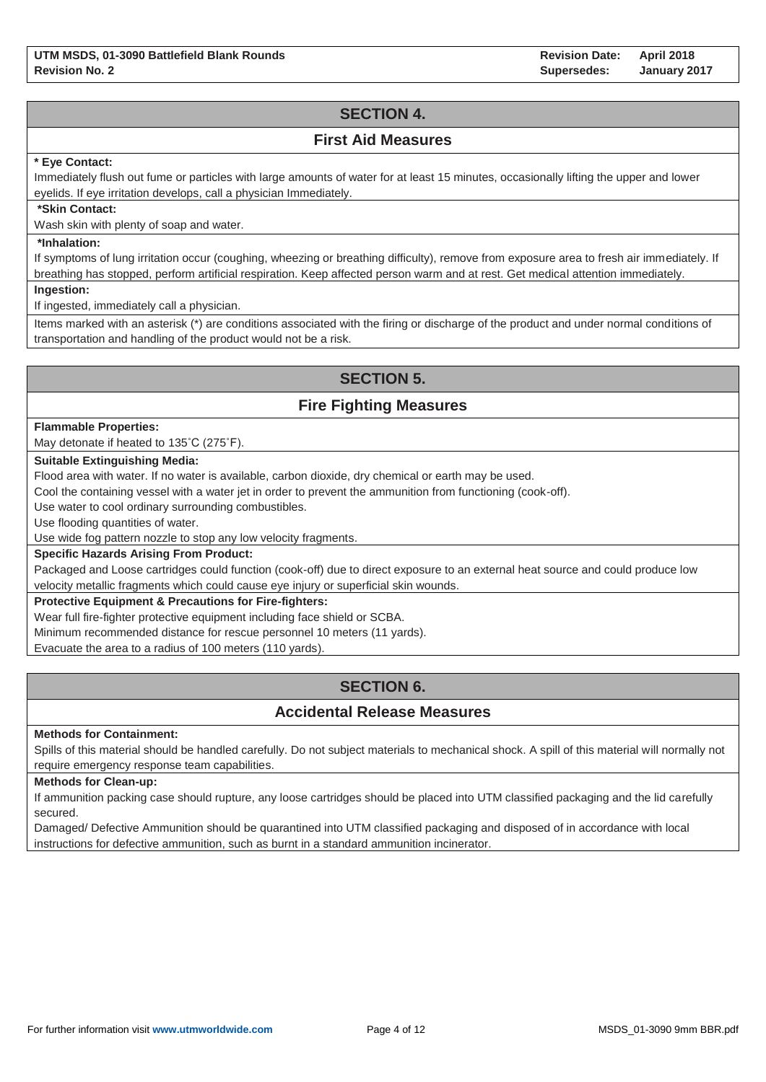**Revision Date: Supersedes: April 2018 January 2017**

# **SECTION 4.**

### **First Aid Measures**

### **\* Eye Contact:**

Immediately flush out fume or particles with large amounts of water for at least 15 minutes, occasionally lifting the upper and lower eyelids. If eye irritation develops, call a physician Immediately.

#### **\*Skin Contact:**

Wash skin with plenty of soap and water.

### **\*Inhalation:**

If symptoms of lung irritation occur (coughing, wheezing or breathing difficulty), remove from exposure area to fresh air immediately. If breathing has stopped, perform artificial respiration. Keep affected person warm and at rest. Get medical attention immediately.

**Ingestion:**

If ingested, immediately call a physician.

Items marked with an asterisk (\*) are conditions associated with the firing or discharge of the product and under normal conditions of transportation and handling of the product would not be a risk.

## **SECTION 5.**

## **Fire Fighting Measures**

#### **Flammable Properties:**

May detonate if heated to 135˚C (275˚F).

### **Suitable Extinguishing Media:**

Flood area with water. If no water is available, carbon dioxide, dry chemical or earth may be used.

Cool the containing vessel with a water jet in order to prevent the ammunition from functioning (cook-off).

Use water to cool ordinary surrounding combustibles.

Use flooding quantities of water.

Use wide fog pattern nozzle to stop any low velocity fragments.

### **Specific Hazards Arising From Product:**

Packaged and Loose cartridges could function (cook-off) due to direct exposure to an external heat source and could produce low velocity metallic fragments which could cause eye injury or superficial skin wounds.

### **Protective Equipment & Precautions for Fire-fighters:**

Wear full fire-fighter protective equipment including face shield or SCBA.

Minimum recommended distance for rescue personnel 10 meters (11 yards).

Evacuate the area to a radius of 100 meters (110 yards).

# **SECTION 6.**

## **Accidental Release Measures**

#### **Methods for Containment:**

Spills of this material should be handled carefully. Do not subject materials to mechanical shock. A spill of this material will normally not require emergency response team capabilities.

#### **Methods for Clean-up:**

If ammunition packing case should rupture, any loose cartridges should be placed into UTM classified packaging and the lid carefully secured.

Damaged/ Defective Ammunition should be quarantined into UTM classified packaging and disposed of in accordance with local instructions for defective ammunition, such as burnt in a standard ammunition incinerator.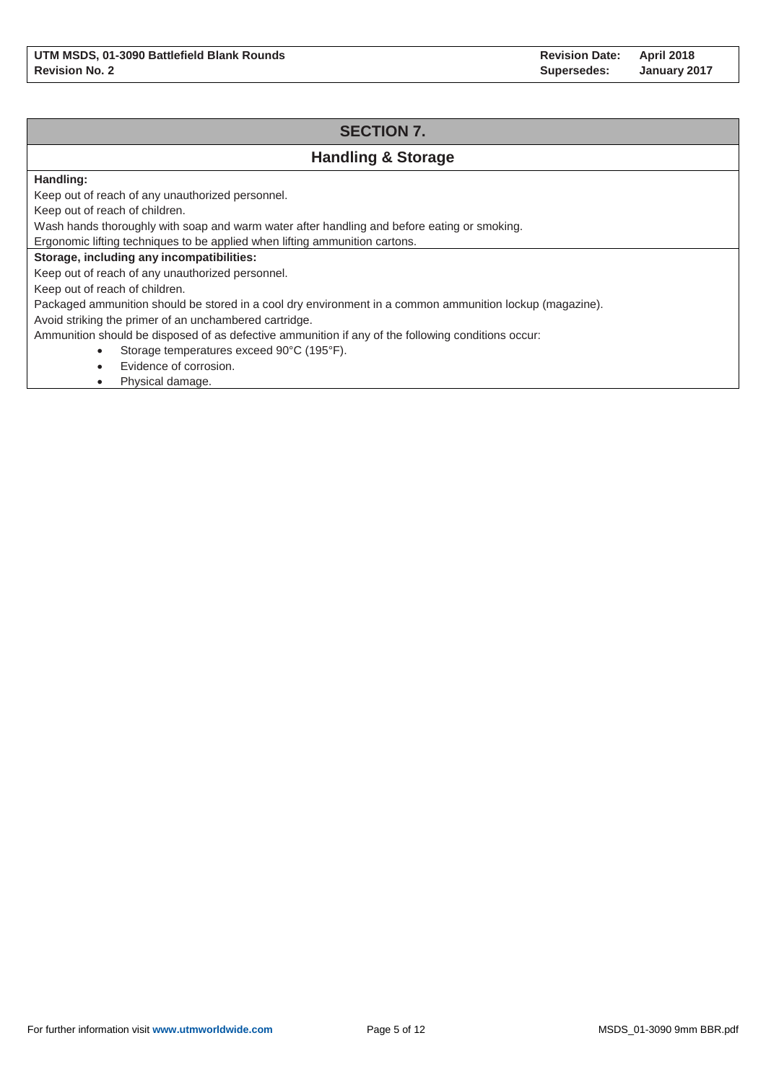## **SECTION 7. Handling & Storage Handling:** Keep out of reach of any unauthorized personnel. Keep out of reach of children. Wash hands thoroughly with soap and warm water after handling and before eating or smoking. Ergonomic lifting techniques to be applied when lifting ammunition cartons. **Storage, including any incompatibilities:** Keep out of reach of any unauthorized personnel. Keep out of reach of children. Packaged ammunition should be stored in a cool dry environment in a common ammunition lockup (magazine). Avoid striking the primer of an unchambered cartridge. Ammunition should be disposed of as defective ammunition if any of the following conditions occur: Storage temperatures exceed 90°C (195°F). Evidence of corrosion.

• Physical damage.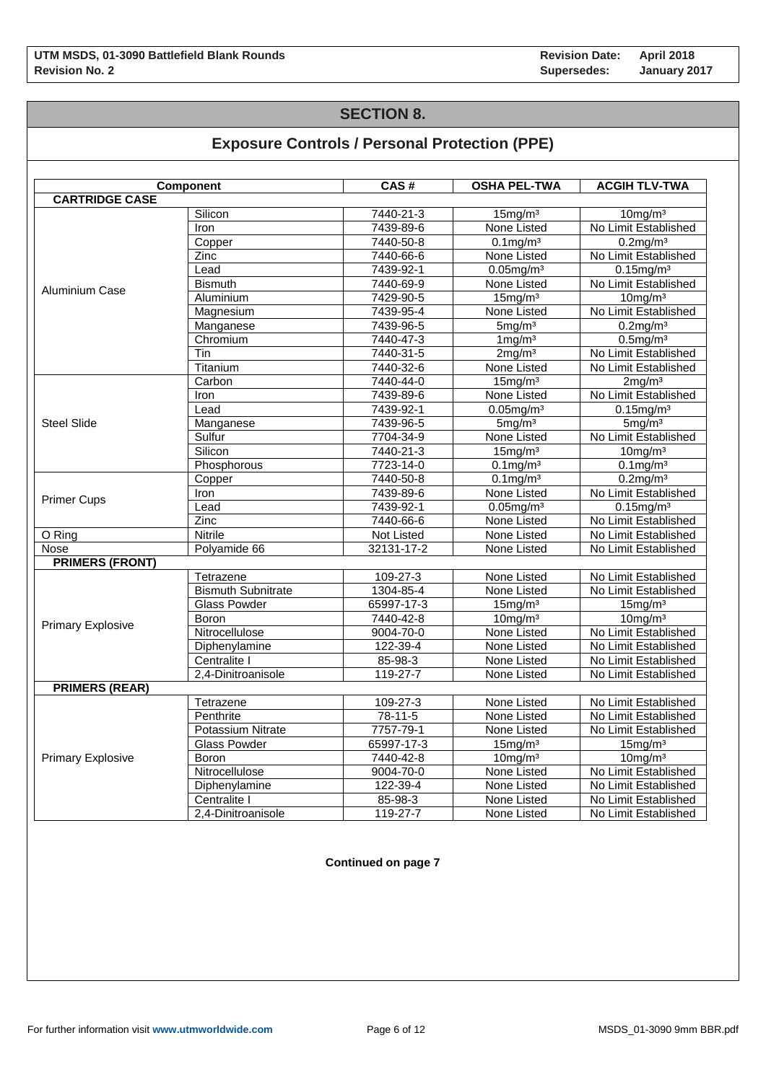# **SECTION 8.**

# **Exposure Controls / Personal Protection (PPE)**

|                          | Component                 | CAS#       | <b>OSHA PEL-TWA</b>   | <b>ACGIH TLV-TWA</b>     |
|--------------------------|---------------------------|------------|-----------------------|--------------------------|
| <b>CARTRIDGE CASE</b>    |                           |            |                       |                          |
|                          | Silicon                   | 7440-21-3  | 15mg/m <sup>3</sup>   | 10mg/m <sup>3</sup>      |
|                          | Iron                      | 7439-89-6  | None Listed           | No Limit Established     |
|                          | Copper                    | 7440-50-8  | $0.1 \text{mg/m}^3$   | $0.2$ mg/m $3$           |
|                          | Zinc                      | 7440-66-6  | None Listed           | No Limit Established     |
|                          | Lead                      | 7439-92-1  | $0.05$ mg/m $3$       | $0.15$ mg/m <sup>3</sup> |
|                          | <b>Bismuth</b>            | 7440-69-9  | None Listed           | No Limit Established     |
| Aluminium Case           | Aluminium                 | 7429-90-5  | 15mg/m <sup>3</sup>   | $10$ mg/m $3$            |
|                          | Magnesium                 | 7439-95-4  | None Listed           | No Limit Established     |
|                          | Manganese                 | 7439-96-5  | 5mg/m <sup>3</sup>    | $0.2$ mg/m $3$           |
|                          | Chromium                  | 7440-47-3  | $1 \,\mathrm{mg/m^3}$ | $0.5$ mg/m $3$           |
|                          | Tin                       | 7440-31-5  | 2mg/m <sup>3</sup>    | No Limit Established     |
|                          | Titanium                  | 7440-32-6  | None Listed           | No Limit Established     |
|                          | Carbon                    | 7440-44-0  | 15mg/m <sup>3</sup>   | 2mg/m <sup>3</sup>       |
|                          | Iron                      | 7439-89-6  | None Listed           | No Limit Established     |
|                          | Lead                      | 7439-92-1  | $0.05$ mg/m $3$       | $0.15$ mg/m $3$          |
| <b>Steel Slide</b>       | Manganese                 | 7439-96-5  | 5mg/m <sup>3</sup>    | 5mg/m <sup>3</sup>       |
|                          | Sulfur                    | 7704-34-9  | None Listed           | No Limit Established     |
|                          | Silicon                   | 7440-21-3  | 15mg/m <sup>3</sup>   | $10$ mg/m $3$            |
|                          | Phosphorous               | 7723-14-0  | $0.1$ mg/m $3$        | $0.1 \text{mg/m}^3$      |
|                          |                           | 7440-50-8  |                       |                          |
|                          | Copper                    |            | $0.1$ mg/m $3$        | $0.2$ mg/m $3$           |
| <b>Primer Cups</b>       | Iron                      | 7439-89-6  | None Listed           | No Limit Established     |
|                          | Lead                      | 7439-92-1  | $0.05$ mg/m $3$       | $0.15$ mg/m $3$          |
|                          | <b>Zinc</b>               | 7440-66-6  | None Listed           | No Limit Established     |
| O Ring                   | <b>Nitrile</b>            | Not Listed | None Listed           | No Limit Established     |
| Nose                     | Polyamide 66              | 32131-17-2 | None Listed           | No Limit Established     |
| <b>PRIMERS (FRONT)</b>   |                           |            |                       |                          |
|                          | Tetrazene                 | 109-27-3   | None Listed           | No Limit Established     |
| <b>Primary Explosive</b> | <b>Bismuth Subnitrate</b> | 1304-85-4  | None Listed           | No Limit Established     |
|                          | <b>Glass Powder</b>       | 65997-17-3 | 15mg/m <sup>3</sup>   | 15mg/m <sup>3</sup>      |
|                          | Boron                     | 7440-42-8  | 10mg/m <sup>3</sup>   | 10mg/m <sup>3</sup>      |
|                          | Nitrocellulose            | 9004-70-0  | None Listed           | No Limit Established     |
|                          | Diphenylamine             | 122-39-4   | None Listed           | No Limit Established     |
|                          | Centralite I              | 85-98-3    | None Listed           | No Limit Established     |
|                          | 2,4-Dinitroanisole        | 119-27-7   | None Listed           | No Limit Established     |
| <b>PRIMERS (REAR)</b>    |                           |            |                       |                          |
|                          | Tetrazene                 | 109-27-3   | None Listed           | No Limit Established     |
|                          | Penthrite                 | $78-11-5$  | None Listed           | No Limit Established     |
|                          | <b>Potassium Nitrate</b>  | 7757-79-1  | None Listed           | No Limit Established     |
|                          | <b>Glass Powder</b>       | 65997-17-3 | 15mg/m <sup>3</sup>   | 15mg/m <sup>3</sup>      |
| <b>Primary Explosive</b> | Boron                     | 7440-42-8  | 10mg/m <sup>3</sup>   | $10$ mg/m $3$            |
|                          | Nitrocellulose            | 9004-70-0  | None Listed           | No Limit Established     |
|                          | Diphenylamine             | 122-39-4   | None Listed           | No Limit Established     |
|                          | Centralite I              | 85-98-3    | None Listed           | No Limit Established     |
|                          | 2.4-Dinitroanisole        | 119-27-7   | None Listed           | No Limit Established     |

### **Continued on page 7**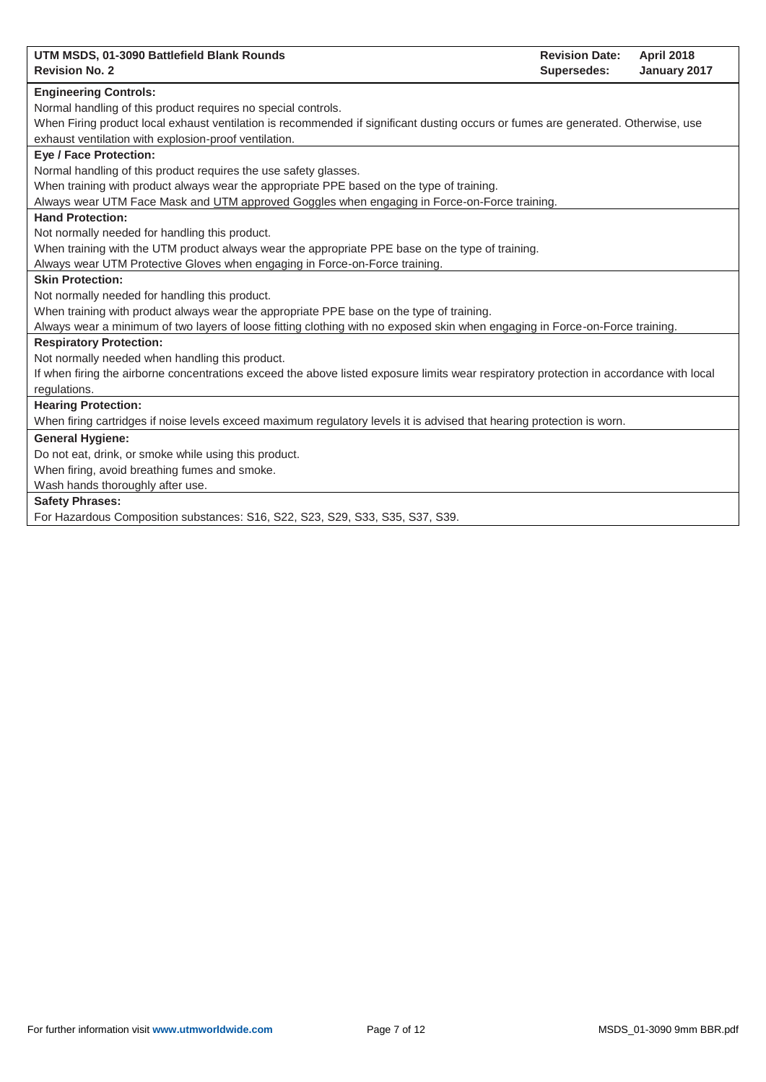| UTM MSDS, 01-3090 Battlefield Blank Rounds<br><b>Revision Date:</b><br><b>April 2018</b>                                                |
|-----------------------------------------------------------------------------------------------------------------------------------------|
| <b>Revision No. 2</b><br><b>Supersedes:</b><br>January 2017                                                                             |
| <b>Engineering Controls:</b>                                                                                                            |
| Normal handling of this product requires no special controls.                                                                           |
| When Firing product local exhaust ventilation is recommended if significant dusting occurs or fumes are generated. Otherwise, use       |
| exhaust ventilation with explosion-proof ventilation.                                                                                   |
| <b>Eye / Face Protection:</b>                                                                                                           |
| Normal handling of this product requires the use safety glasses.                                                                        |
| When training with product always wear the appropriate PPE based on the type of training.                                               |
| Always wear UTM Face Mask and UTM approved Goggles when engaging in Force-on-Force training.                                            |
| <b>Hand Protection:</b>                                                                                                                 |
| Not normally needed for handling this product.                                                                                          |
| When training with the UTM product always wear the appropriate PPE base on the type of training.                                        |
| Always wear UTM Protective Gloves when engaging in Force-on-Force training.                                                             |
| <b>Skin Protection:</b>                                                                                                                 |
| Not normally needed for handling this product.                                                                                          |
| When training with product always wear the appropriate PPE base on the type of training.                                                |
| Always wear a minimum of two layers of loose fitting clothing with no exposed skin when engaging in Force-on-Force training.            |
| <b>Respiratory Protection:</b>                                                                                                          |
| Not normally needed when handling this product.                                                                                         |
| If when firing the airborne concentrations exceed the above listed exposure limits wear respiratory protection in accordance with local |
| regulations.                                                                                                                            |
| <b>Hearing Protection:</b>                                                                                                              |
| When firing cartridges if noise levels exceed maximum regulatory levels it is advised that hearing protection is worn.                  |
| <b>General Hygiene:</b>                                                                                                                 |
| Do not eat, drink, or smoke while using this product.                                                                                   |
| When firing, avoid breathing fumes and smoke.                                                                                           |
| Wash hands thoroughly after use.                                                                                                        |
| <b>Safety Phrases:</b>                                                                                                                  |
| For Hazardous Composition substances: S16, S22, S23, S29, S33, S35, S37, S39.                                                           |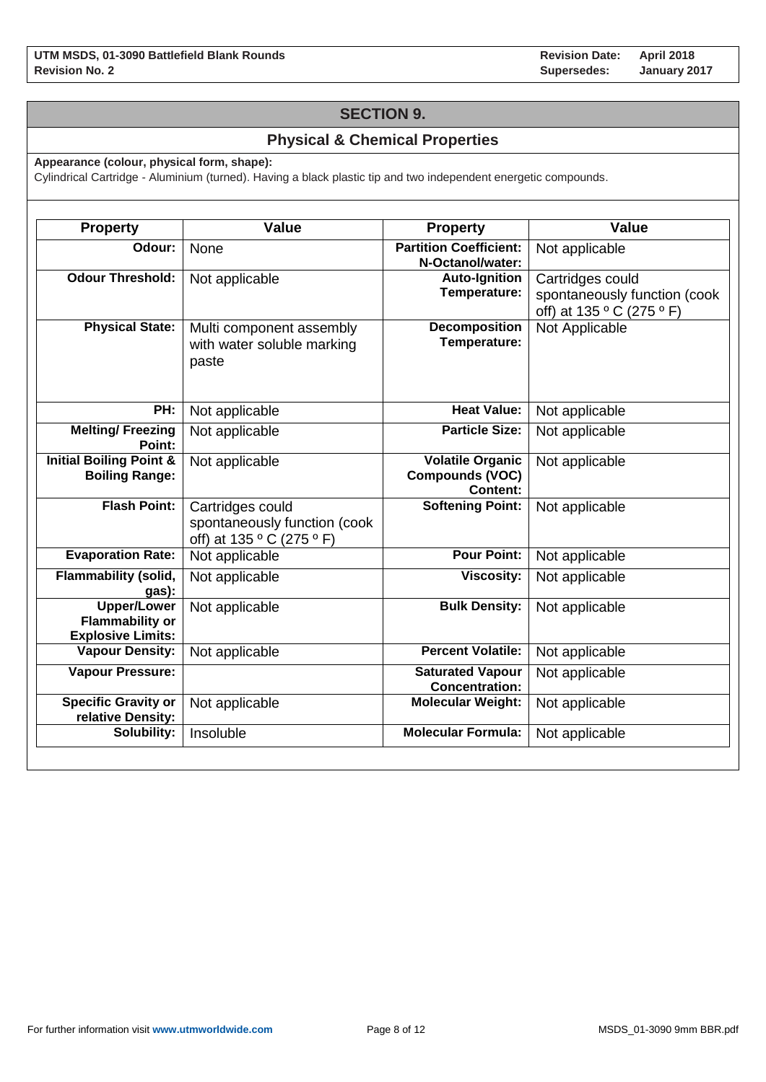## **SECTION 9.**

## **Physical & Chemical Properties**

**Appearance (colour, physical form, shape):**

Cylindrical Cartridge - Aluminium (turned). Having a black plastic tip and two independent energetic compounds.

| <b>Property</b>                                                          | <b>Value</b>                                                                  | <b>Property</b>                                                      | <b>Value</b>                                                                  |
|--------------------------------------------------------------------------|-------------------------------------------------------------------------------|----------------------------------------------------------------------|-------------------------------------------------------------------------------|
| Odour:                                                                   | None                                                                          | <b>Partition Coefficient:</b><br>N-Octanol/water:                    | Not applicable                                                                |
| <b>Odour Threshold:</b>                                                  | Not applicable                                                                | <b>Auto-Ignition</b><br>Temperature:                                 | Cartridges could<br>spontaneously function (cook<br>off) at 135 ° C (275 ° F) |
| <b>Physical State:</b>                                                   | Multi component assembly<br>with water soluble marking<br>paste               | <b>Decomposition</b><br>Temperature:                                 | Not Applicable                                                                |
| PH:                                                                      | Not applicable                                                                | <b>Heat Value:</b>                                                   | Not applicable                                                                |
| <b>Melting/Freezing</b><br>Point:                                        | Not applicable                                                                | <b>Particle Size:</b>                                                | Not applicable                                                                |
| <b>Initial Boiling Point &amp;</b><br><b>Boiling Range:</b>              | Not applicable                                                                | <b>Volatile Organic</b><br><b>Compounds (VOC)</b><br><b>Content:</b> | Not applicable                                                                |
| <b>Flash Point:</b>                                                      | Cartridges could<br>spontaneously function (cook<br>off) at 135 ° C (275 ° F) | <b>Softening Point:</b>                                              | Not applicable                                                                |
| <b>Evaporation Rate:</b>                                                 | Not applicable                                                                | <b>Pour Point:</b>                                                   | Not applicable                                                                |
| <b>Flammability (solid,</b><br>gas):                                     | Not applicable                                                                | <b>Viscosity:</b>                                                    | Not applicable                                                                |
| <b>Upper/Lower</b><br><b>Flammability or</b><br><b>Explosive Limits:</b> | Not applicable                                                                | <b>Bulk Density:</b>                                                 | Not applicable                                                                |
| <b>Vapour Density:</b>                                                   | Not applicable                                                                | <b>Percent Volatile:</b>                                             | Not applicable                                                                |
| <b>Vapour Pressure:</b>                                                  |                                                                               | <b>Saturated Vapour</b><br><b>Concentration:</b>                     | Not applicable                                                                |
| Specific Gravity or<br>relative Density:                                 | Not applicable                                                                | <b>Molecular Weight:</b>                                             | Not applicable                                                                |
| Solubility:                                                              | Insoluble                                                                     | <b>Molecular Formula:</b>                                            | Not applicable                                                                |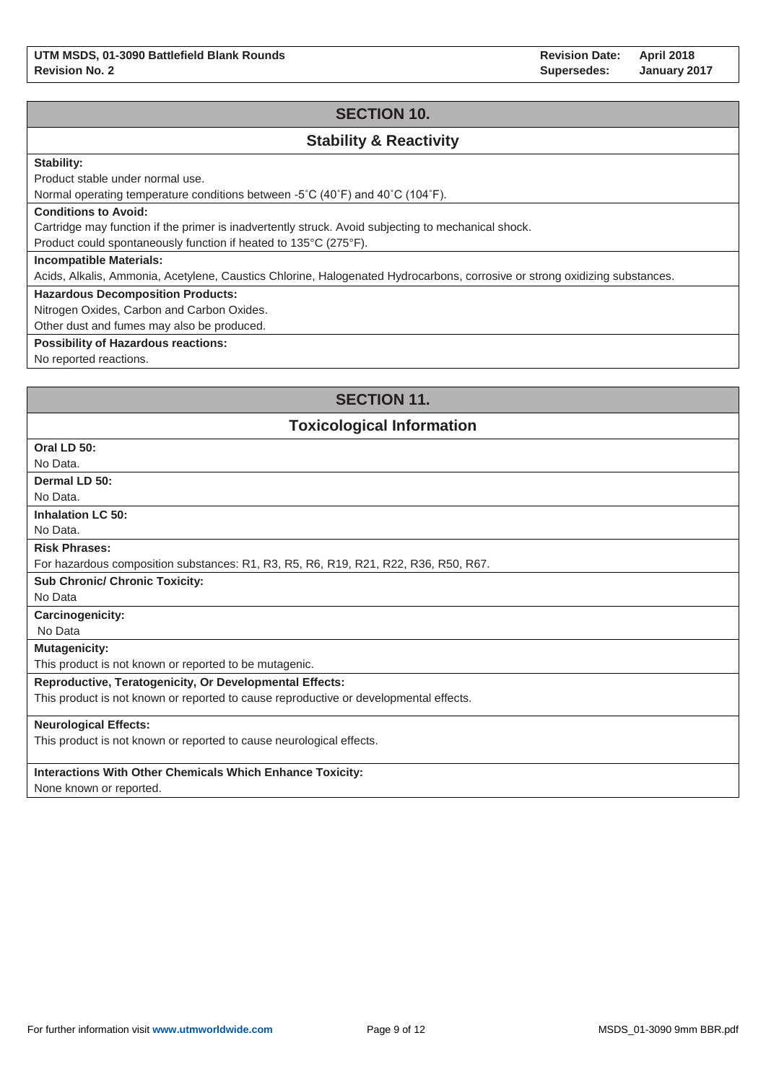**Revision Date: Supersedes: April 2018 January 2017**

## **SECTION 10.**

## **Stability & Reactivity**

### **Stability:**

Product stable under normal use.

Normal operating temperature conditions between -5˚C (40˚F) and 40˚C (104˚F).

#### **Conditions to Avoid:**

Cartridge may function if the primer is inadvertently struck. Avoid subjecting to mechanical shock.

Product could spontaneously function if heated to 135°C (275°F).

#### **Incompatible Materials:**

Acids, Alkalis, Ammonia, Acetylene, Caustics Chlorine, Halogenated Hydrocarbons, corrosive or strong oxidizing substances.

### **Hazardous Decomposition Products:**

Nitrogen Oxides, Carbon and Carbon Oxides.

Other dust and fumes may also be produced.

### **Possibility of Hazardous reactions:**

No reported reactions.

## **SECTION 11.**

### **Toxicological Information**

| Oral LD 50:                                                                           |
|---------------------------------------------------------------------------------------|
| No Data.                                                                              |
| Dermal LD 50:                                                                         |
| No Data.                                                                              |
| <b>Inhalation LC 50:</b>                                                              |
| No Data.                                                                              |
| <b>Risk Phrases:</b>                                                                  |
| For hazardous composition substances: R1, R3, R5, R6, R19, R21, R22, R36, R50, R67.   |
| <b>Sub Chronic/ Chronic Toxicity:</b>                                                 |
| No Data                                                                               |
| <b>Carcinogenicity:</b>                                                               |
| No Data                                                                               |
| <b>Mutagenicity:</b>                                                                  |
| This product is not known or reported to be mutagenic.                                |
| <b>Reproductive, Teratogenicity, Or Developmental Effects:</b>                        |
| This product is not known or reported to cause reproductive or developmental effects. |
| <b>Neurological Effects:</b>                                                          |
| This product is not known or reported to cause neurological effects.                  |
|                                                                                       |
| <b>Interactions With Other Chemicals Which Enhance Toxicity:</b>                      |
| $\blacksquare$                                                                        |

None known or reported.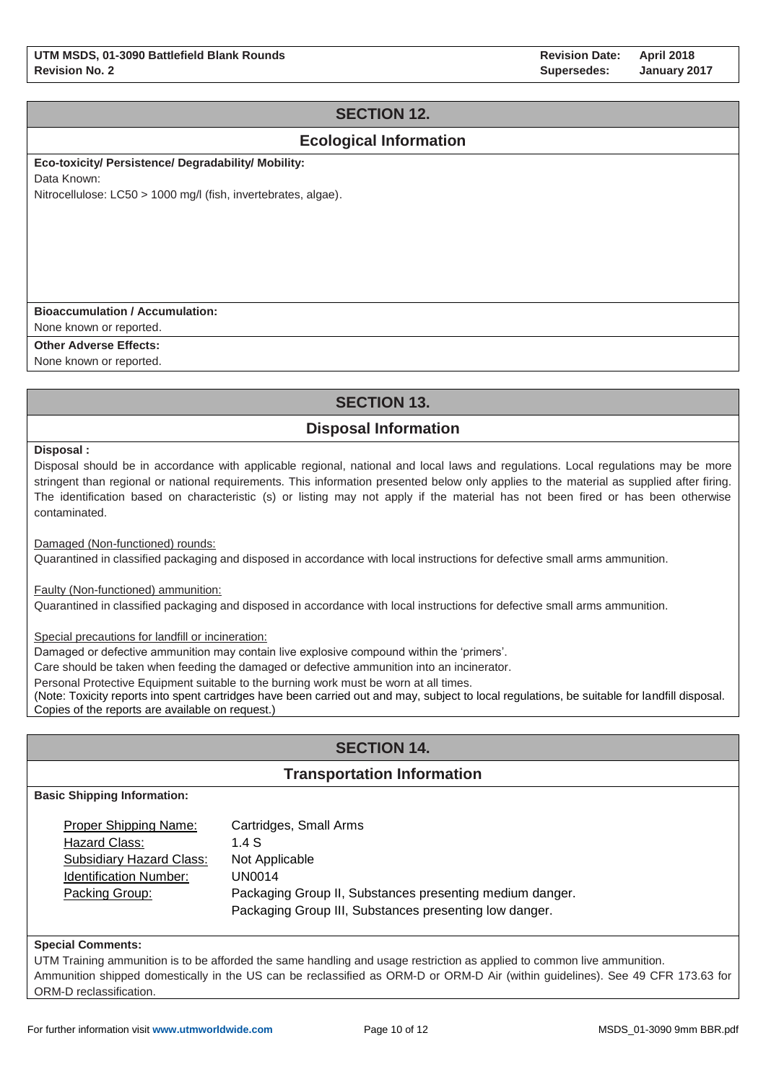# **SECTION 12.**

## **Ecological Information**

**Eco-toxicity/ Persistence/ Degradability/ Mobility:** 

Data Known:

Nitrocellulose: LC50 > 1000 mg/l (fish, invertebrates, algae).

### **Bioaccumulation / Accumulation:**

None known or reported.

**Other Adverse Effects:**

None known or reported.

# **SECTION 13.**

# **Disposal Information**

**Disposal :**

Disposal should be in accordance with applicable regional, national and local laws and regulations. Local regulations may be more stringent than regional or national requirements. This information presented below only applies to the material as supplied after firing. The identification based on characteristic (s) or listing may not apply if the material has not been fired or has been otherwise contaminated.

Damaged (Non-functioned) rounds:

Quarantined in classified packaging and disposed in accordance with local instructions for defective small arms ammunition.

Faulty (Non-functioned) ammunition:

Quarantined in classified packaging and disposed in accordance with local instructions for defective small arms ammunition.

Special precautions for landfill or incineration:

Damaged or defective ammunition may contain live explosive compound within the 'primers'.

Care should be taken when feeding the damaged or defective ammunition into an incinerator.

Personal Protective Equipment suitable to the burning work must be worn at all times.

(Note: Toxicity reports into spent cartridges have been carried out and may, subject to local regulations, be suitable for landfill disposal. Copies of the reports are available on request.)

# **SECTION 14.**

### **Transportation Information**

**Basic Shipping Information:**

| Proper Shipping Name:         | Cartridges, Small Arms                                   |
|-------------------------------|----------------------------------------------------------|
| Hazard Class:                 | 1.4 $S$                                                  |
| Subsidiary Hazard Class:      | Not Applicable                                           |
| <b>Identification Number:</b> | <b>UN0014</b>                                            |
| Packing Group:                | Packaging Group II, Substances presenting medium danger. |
|                               | Packaging Group III, Substances presenting low danger.   |

#### **Special Comments:**

UTM Training ammunition is to be afforded the same handling and usage restriction as applied to common live ammunition. Ammunition shipped domestically in the US can be reclassified as ORM-D or ORM-D Air (within guidelines). See 49 CFR 173.63 for ORM-D reclassification.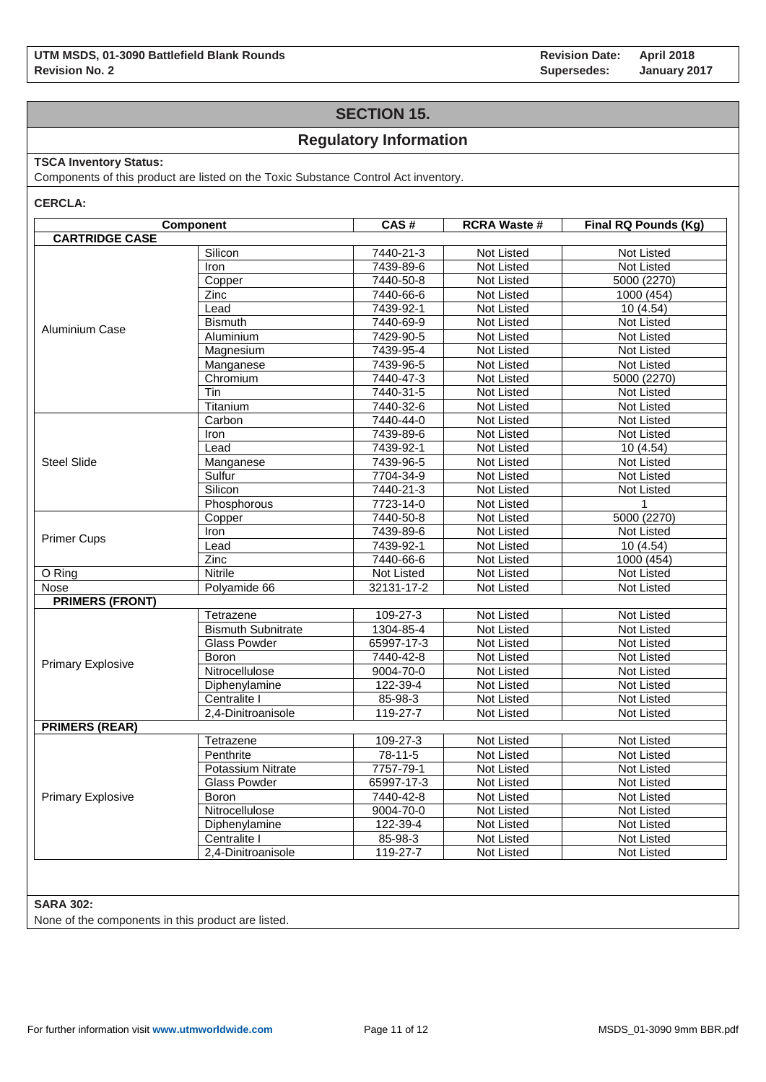**Revision Date: Supersedes: April 2018 January 2017**

## **SECTION 15.**

## **Regulatory Information**

### **TSCA Inventory Status:**

Components of this product are listed on the Toxic Substance Control Act inventory.

**CERCLA:**

|                          | Component                 | CAS#            | <b>RCRA Waste #</b> | Final RQ Pounds (Kg) |
|--------------------------|---------------------------|-----------------|---------------------|----------------------|
| <b>CARTRIDGE CASE</b>    |                           |                 |                     |                      |
|                          | Silicon                   | 7440-21-3       | Not Listed          | Not Listed           |
|                          | Iron                      | 7439-89-6       | Not Listed          | Not Listed           |
|                          | Copper                    | 7440-50-8       | Not Listed          | 5000 (2270)          |
|                          | Zinc                      | 7440-66-6       | Not Listed          | 1000 (454)           |
|                          | Lead                      | 7439-92-1       | Not Listed          | 10(4.54)             |
| <b>Aluminium Case</b>    | <b>Bismuth</b>            | 7440-69-9       | Not Listed          | Not Listed           |
|                          | Aluminium                 | 7429-90-5       | Not Listed          | Not Listed           |
|                          | Magnesium                 | 7439-95-4       | Not Listed          | <b>Not Listed</b>    |
|                          | Manganese                 | 7439-96-5       | Not Listed          | Not Listed           |
|                          | Chromium                  | $7440 - 47 - 3$ | Not Listed          | 5000 (2270)          |
|                          | Tin                       | 7440-31-5       | Not Listed          | Not Listed           |
|                          | Titanium                  | 7440-32-6       | Not Listed          | Not Listed           |
|                          | Carbon                    | 7440-44-0       | Not Listed          | <b>Not Listed</b>    |
|                          | Iron                      | 7439-89-6       | Not Listed          | Not Listed           |
|                          | Lead                      | 7439-92-1       | Not Listed          | 10 (4.54)            |
| <b>Steel Slide</b>       | Manganese                 | 7439-96-5       | Not Listed          | Not Listed           |
|                          | Sulfur                    | 7704-34-9       | Not Listed          | Not Listed           |
|                          | Silicon                   | 7440-21-3       | Not Listed          | Not Listed           |
|                          | Phosphorous               | 7723-14-0       | Not Listed          |                      |
|                          | Copper                    | 7440-50-8       | Not Listed          | 5000 (2270)          |
| <b>Primer Cups</b>       | Iron                      | 7439-89-6       | Not Listed          | Not Listed           |
|                          | Lead                      | 7439-92-1       | Not Listed          | 10(4.54)             |
|                          | Zinc                      | 7440-66-6       | Not Listed          | 1000 (454)           |
| O Ring                   | <b>Nitrile</b>            | Not Listed      | Not Listed          | <b>Not Listed</b>    |
| Nose                     | Polyamide 66              | 32131-17-2      | Not Listed          | Not Listed           |
| <b>PRIMERS (FRONT)</b>   |                           |                 |                     |                      |
|                          | Tetrazene                 | $109 - 27 - 3$  | Not Listed          | Not Listed           |
|                          | <b>Bismuth Subnitrate</b> | 1304-85-4       | Not Listed          | Not Listed           |
|                          | <b>Glass Powder</b>       | 65997-17-3      | Not Listed          | Not Listed           |
| <b>Primary Explosive</b> | Boron                     | 7440-42-8       | Not Listed          | Not Listed           |
|                          | Nitrocellulose            | 9004-70-0       | Not Listed          | Not Listed           |
|                          | Diphenylamine             | 122-39-4        | Not Listed          | Not Listed           |
|                          | Centralite I              | 85-98-3         | Not Listed          | Not Listed           |
|                          | 2,4-Dinitroanisole        | 119-27-7        | Not Listed          | Not Listed           |
| <b>PRIMERS (REAR)</b>    |                           |                 |                     |                      |
|                          | Tetrazene                 | 109-27-3        | Not Listed          | <b>Not Listed</b>    |
|                          | Penthrite                 | 78-11-5         | Not Listed          | Not Listed           |
|                          | Potassium Nitrate         | 7757-79-1       | Not Listed          | Not Listed           |
| <b>Primary Explosive</b> | <b>Glass Powder</b>       | 65997-17-3      | Not Listed          | Not Listed           |
|                          | Boron                     | 7440-42-8       | Not Listed          | <b>Not Listed</b>    |
|                          | Nitrocellulose            | $9004 - 70 - 0$ | Not Listed          | Not Listed           |
|                          | Diphenylamine             | 122-39-4        | Not Listed          | Not Listed           |
|                          | Centralite I              | 85-98-3         | Not Listed          | Not Listed           |
|                          | 2,4-Dinitroanisole        | 119-27-7        | Not Listed          | Not Listed           |